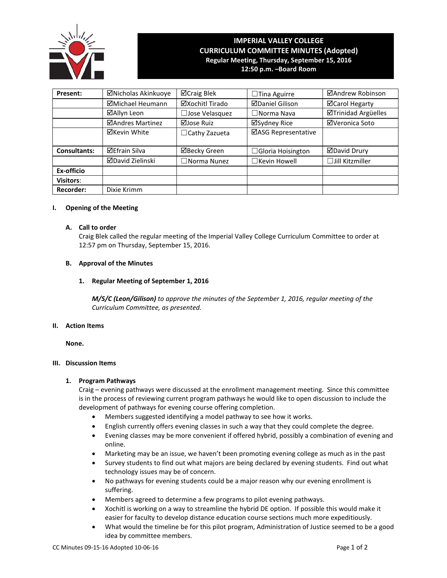

# **IMPERIAL VALLEY COLLEGE CURRICULUM COMMITTEE MINUTES (Adopted) Regular Meeting, Thursday, September 15, 2016 12:50 p.m. –Board Room**

**Present:** │ ⊠Nicholas Akinkuoye │ ⊠Craig Blek │ □Tina Aguirre │ ⊠Andrew Robinson ØMichael Heumann | ØXochitl Tirado | ØDaniel Gilison | ØCarol Hegarty **ØAllyn Leon** │ □Jose Velasquez │ □Norma Nava │ ØTrinidad Argüelles **ØAndres Martinez | ØJose Ruiz | ØSydney Rice | ØVeronica Soto**  $\Box$ Kevin White  $\Box$ Cathy Zazueta  $\Box$ ASG Representative **Consultants:** | ⊠Efrain Silva | ⊠Becky Green | □Gloria Hoisington | ⊠David Drury David Zielinski ☐Norma Nunez ☐Kevin Howell ☐Jill Kitzmiller **Ex-officio Visitors**: **Recorder:** Dixie Krimm

# **I. Opening of the Meeting**

# **A. Call to order**

Craig Blek called the regular meeting of the Imperial Valley College Curriculum Committee to order at 12:57 pm on Thursday, September 15, 2016.

# **B. Approval of the Minutes**

# **1. Regular Meeting of September 1, 2016**

*M/S/C (Leon/Gilison) to approve the minutes of the September 1, 2016, regular meeting of the Curriculum Committee, as presented.* 

#### **II. Action Items**

**None.**

# **III. Discussion Items**

#### **1. Program Pathways**

Craig – evening pathways were discussed at the enrollment management meeting. Since this committee is in the process of reviewing current program pathways he would like to open discussion to include the development of pathways for evening course offering completion.

- Members suggested identifying a model pathway to see how it works.
- English currently offers evening classes in such a way that they could complete the degree.
- Evening classes may be more convenient if offered hybrid, possibly a combination of evening and online.
- Marketing may be an issue, we haven't been promoting evening college as much as in the past
- Survey students to find out what majors are being declared by evening students. Find out what technology issues may be of concern.
- No pathways for evening students could be a major reason why our evening enrollment is suffering.
- Members agreed to determine a few programs to pilot evening pathways.
- Xochitl is working on a way to streamline the hybrid DE option. If possible this would make it easier for faculty to develop distance education course sections much more expeditiously.
- What would the timeline be for this pilot program, Administration of Justice seemed to be a good idea by committee members.